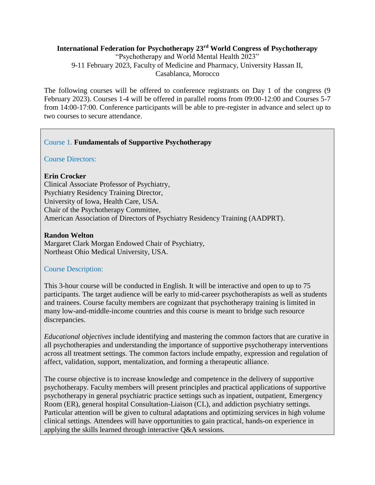# **International Federation for Psychotherapy 23rd World Congress of Psychotherapy**

"Psychotherapy and World Mental Health 2023" 9-11 February 2023, Faculty of Medicine and Pharmacy, University Hassan II, Casablanca, Morocco

The following courses will be offered to conference registrants on Day 1 of the congress (9 February 2023). Courses 1-4 will be offered in parallel rooms from 09:00-12:00 and Courses 5-7 from 14:00-17:00. Conference participants will be able to pre-register in advance and select up to two courses to secure attendance.

# Course 1. **Fundamentals of Supportive Psychotherapy**

Course Directors:

#### **Erin Crocker**

Clinical Associate Professor of Psychiatry, Psychiatry Residency Training Director, University of Iowa, Health Care, USA. Chair of the Psychotherapy Committee, American Association of Directors of Psychiatry Residency Training (AADPRT).

#### **Randon Welton**

Margaret Clark Morgan Endowed Chair of Psychiatry, Northeast Ohio Medical University, USA.

#### Course Description:

This 3-hour course will be conducted in English. It will be interactive and open to up to 75 participants. The target audience will be early to mid-career psychotherapists as well as students and trainees. Course faculty members are cognizant that psychotherapy training is limited in many low-and-middle-income countries and this course is meant to bridge such resource discrepancies.

*Educational objectives* include identifying and mastering the common factors that are curative in all psychotherapies and understanding the importance of supportive psychotherapy interventions across all treatment settings. The common factors include empathy, expression and regulation of affect, validation, support, mentalization, and forming a therapeutic alliance.

The course objective is to increase knowledge and competence in the delivery of supportive psychotherapy. Faculty members will present principles and practical applications of supportive psychotherapy in general psychiatric practice settings such as inpatient, outpatient, Emergency Room (ER), general hospital Consultation-Liaison (CL), and addiction psychiatry settings. Particular attention will be given to cultural adaptations and optimizing services in high volume clinical settings. Attendees will have opportunities to gain practical, hands-on experience in applying the skills learned through interactive Q&A sessions.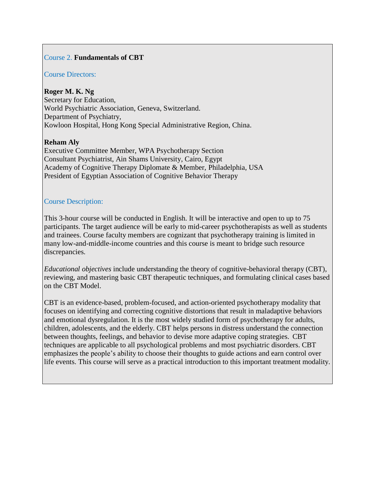#### Course 2. **Fundamentals of CBT**

# Course Directors:

**Roger M. K. Ng** Secretary for Education, World Psychiatric Association, Geneva, Switzerland. Department of Psychiatry, Kowloon Hospital, Hong Kong Special Administrative Region, China.

#### **Reham Aly**

Executive Committee Member, WPA Psychotherapy Section Consultant Psychiatrist, Ain Shams University, Cairo, Egypt Academy of Cognitive Therapy Diplomate & Member, Philadelphia, USA President of Egyptian Association of Cognitive Behavior Therapy

#### Course Description:

This 3-hour course will be conducted in English. It will be interactive and open to up to 75 participants. The target audience will be early to mid-career psychotherapists as well as students and trainees. Course faculty members are cognizant that psychotherapy training is limited in many low-and-middle-income countries and this course is meant to bridge such resource discrepancies.

*Educational objectives* include understanding the theory of cognitive-behavioral therapy (CBT), reviewing, and mastering basic CBT therapeutic techniques, and formulating clinical cases based on the CBT Model.

CBT is an evidence-based, problem-focused, and action-oriented psychotherapy modality that focuses on identifying and correcting cognitive distortions that result in maladaptive behaviors and emotional dysregulation. It is the most widely studied form of psychotherapy for adults, children, adolescents, and the elderly. CBT helps persons in distress understand the connection between thoughts, feelings, and behavior to devise more adaptive coping strategies. CBT techniques are applicable to all psychological problems and most psychiatric disorders. CBT emphasizes the people's ability to choose their thoughts to guide actions and earn control over life events. This course will serve as a practical introduction to this important treatment modality.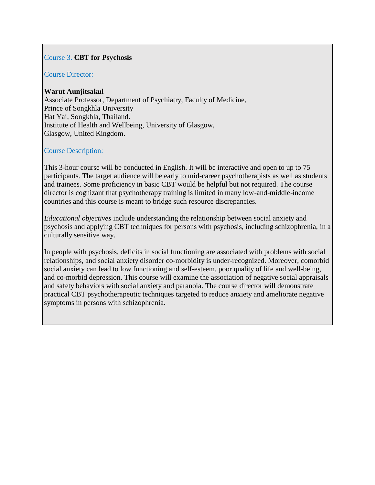## Course 3. **CBT for Psychosis**

#### Course Director:

#### **Warut Aunjitsakul**

Associate Professor, Department of Psychiatry, Faculty of Medicine, Prince of Songkhla University Hat Yai, Songkhla, Thailand. Institute of Health and Wellbeing, University of Glasgow, Glasgow, United Kingdom.

## Course Description:

This 3-hour course will be conducted in English. It will be interactive and open to up to 75 participants. The target audience will be early to mid-career psychotherapists as well as students and trainees. Some proficiency in basic CBT would be helpful but not required. The course director is cognizant that psychotherapy training is limited in many low-and-middle-income countries and this course is meant to bridge such resource discrepancies.

*Educational objectives* include understanding the relationship between social anxiety and psychosis and applying CBT techniques for persons with psychosis, including schizophrenia, in a culturally sensitive way.

In people with psychosis, deficits in social functioning are associated with problems with social relationships, and social anxiety disorder co-morbidity is under-recognized. Moreover, comorbid social anxiety can lead to low functioning and self-esteem, poor quality of life and well-being, and co-morbid depression. This course will examine the association of negative social appraisals and safety behaviors with social anxiety and paranoia. The course director will demonstrate practical CBT psychotherapeutic techniques targeted to reduce anxiety and ameliorate negative symptoms in persons with schizophrenia.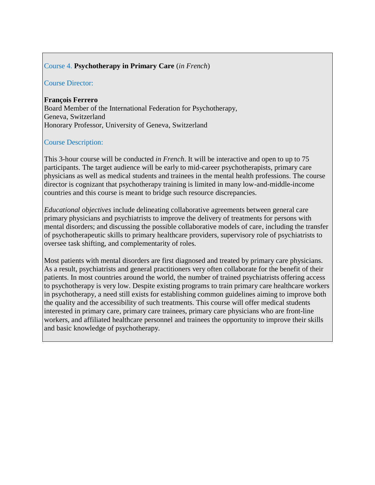## Course 4. **Psychotherapy in Primary Care** (*in French*)

#### Course Director:

**François Ferrero**

Board Member of the International Federation for Psychotherapy, Geneva, Switzerland Honorary Professor, University of Geneva, Switzerland

#### Course Description:

This 3-hour course will be conducted *in French*. It will be interactive and open to up to 75 participants. The target audience will be early to mid-career psychotherapists, primary care physicians as well as medical students and trainees in the mental health professions. The course director is cognizant that psychotherapy training is limited in many low-and-middle-income countries and this course is meant to bridge such resource discrepancies.

*Educational objectives* include delineating collaborative agreements between general care primary physicians and psychiatrists to improve the delivery of treatments for persons with mental disorders; and discussing the possible collaborative models of care, including the transfer of psychotherapeutic skills to primary healthcare providers, supervisory role of psychiatrists to oversee task shifting, and complementarity of roles.

Most patients with mental disorders are first diagnosed and treated by primary care physicians. As a result, psychiatrists and general practitioners very often collaborate for the benefit of their patients. In most countries around the world, the number of trained psychiatrists offering access to psychotherapy is very low. Despite existing programs to train primary care healthcare workers in psychotherapy, a need still exists for establishing common guidelines aiming to improve both the quality and the accessibility of such treatments. This course will offer medical students interested in primary care, primary care trainees, primary care physicians who are front-line workers, and affiliated healthcare personnel and trainees the opportunity to improve their skills and basic knowledge of psychotherapy.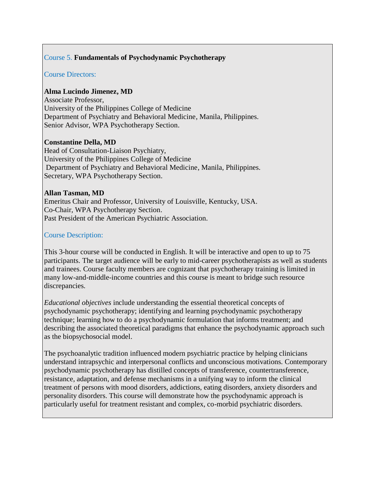# Course 5. **Fundamentals of Psychodynamic Psychotherapy**

#### Course Directors:

## **Alma Lucindo Jimenez, MD**

Associate Professor, University of the Philippines College of Medicine Department of Psychiatry and Behavioral Medicine, Manila, Philippines. Senior Advisor, WPA Psychotherapy Section.

## **Constantine Della, MD**

Head of Consultation-Liaison Psychiatry, University of the Philippines College of Medicine Department of Psychiatry and Behavioral Medicine, Manila, Philippines. Secretary, WPA Psychotherapy Section.

#### **Allan Tasman, MD**

Emeritus Chair and Professor, University of Louisville, Kentucky, USA. Co-Chair, WPA Psychotherapy Section. Past President of the American Psychiatric Association.

## Course Description:

This 3-hour course will be conducted in English. It will be interactive and open to up to 75 participants. The target audience will be early to mid-career psychotherapists as well as students and trainees. Course faculty members are cognizant that psychotherapy training is limited in many low-and-middle-income countries and this course is meant to bridge such resource discrepancies.

*Educational objectives* include understanding the essential theoretical concepts of psychodynamic psychotherapy; identifying and learning psychodynamic psychotherapy technique; learning how to do a psychodynamic formulation that informs treatment; and describing the associated theoretical paradigms that enhance the psychodynamic approach such as the biopsychosocial model.

The psychoanalytic tradition influenced modern psychiatric practice by helping clinicians understand intrapsychic and interpersonal conflicts and unconscious motivations. Contemporary psychodynamic psychotherapy has distilled concepts of transference, countertransference, resistance, adaptation, and defense mechanisms in a unifying way to inform the clinical treatment of persons with mood disorders, addictions, eating disorders, anxiety disorders and personality disorders. This course will demonstrate how the psychodynamic approach is particularly useful for treatment resistant and complex, co-morbid psychiatric disorders.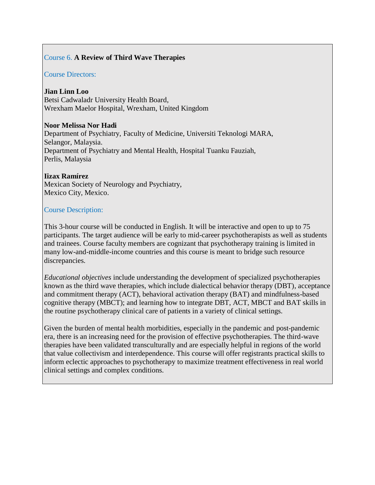# Course 6. **A Review of Third Wave Therapies**

#### Course Directors:

**Jian Linn Loo** Betsi Cadwaladr University Health Board, Wrexham Maelor Hospital, Wrexham, United Kingdom

#### **Noor Melissa Nor Hadi**

Department of Psychiatry, Faculty of Medicine, Universiti Teknologi MARA, Selangor, Malaysia. Department of Psychiatry and Mental Health, Hospital Tuanku Fauziah, Perlis, Malaysia

#### **Iizax Ramírez**

Mexican Society of Neurology and Psychiatry, Mexico City, Mexico.

#### Course Description:

This 3-hour course will be conducted in English. It will be interactive and open to up to 75 participants. The target audience will be early to mid-career psychotherapists as well as students and trainees. Course faculty members are cognizant that psychotherapy training is limited in many low-and-middle-income countries and this course is meant to bridge such resource discrepancies.

*Educational objectives* include understanding the development of specialized psychotherapies known as the third wave therapies, which include dialectical behavior therapy (DBT), acceptance and commitment therapy (ACT), behavioral activation therapy (BAT) and mindfulness-based cognitive therapy (MBCT); and learning how to integrate DBT, ACT, MBCT and BAT skills in the routine psychotherapy clinical care of patients in a variety of clinical settings.

Given the burden of mental health morbidities, especially in the pandemic and post-pandemic era, there is an increasing need for the provision of effective psychotherapies. The third-wave therapies have been validated transculturally and are especially helpful in regions of the world that value collectivism and interdependence. This course will offer registrants practical skills to inform eclectic approaches to psychotherapy to maximize treatment effectiveness in real world clinical settings and complex conditions.